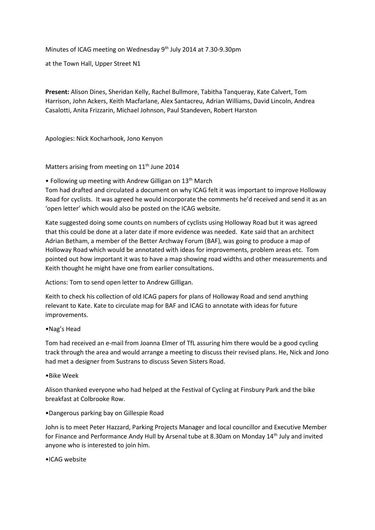Minutes of ICAG meeting on Wednesday 9<sup>th</sup> July 2014 at 7.30-9.30pm

at the Town Hall, Upper Street N1

**Present:** Alison Dines, Sheridan Kelly, Rachel Bullmore, Tabitha Tanqueray, Kate Calvert, Tom Harrison, John Ackers, Keith Macfarlane, Alex Santacreu, Adrian Williams, David Lincoln, Andrea Casalotti, Anita Frizzarin, Michael Johnson, Paul Standeven, Robert Harston

Apologies: Nick Kocharhook, Jono Kenyon

Matters arising from meeting on 11<sup>th</sup> June 2014

• Following up meeting with Andrew Gilligan on 13<sup>th</sup> March

Tom had drafted and circulated a document on why ICAG felt it was important to improve Holloway Road for cyclists. It was agreed he would incorporate the comments he'd received and send it as an 'open letter' which would also be posted on the ICAG website.

Kate suggested doing some counts on numbers of cyclists using Holloway Road but it was agreed that this could be done at a later date if more evidence was needed. Kate said that an architect Adrian Betham, a member of the Better Archway Forum (BAF), was going to produce a map of Holloway Road which would be annotated with ideas for improvements, problem areas etc. Tom pointed out how important it was to have a map showing road widths and other measurements and Keith thought he might have one from earlier consultations.

Actions: Tom to send open letter to Andrew Gilligan.

Keith to check his collection of old ICAG papers for plans of Holloway Road and send anything relevant to Kate. Kate to circulate map for BAF and ICAG to annotate with ideas for future improvements.

### •Nag's Head

Tom had received an e-mail from Joanna Elmer of TfL assuring him there would be a good cycling track through the area and would arrange a meeting to discuss their revised plans. He, Nick and Jono had met a designer from Sustrans to discuss Seven Sisters Road.

#### •Bike Week

Alison thanked everyone who had helped at the Festival of Cycling at Finsbury Park and the bike breakfast at Colbrooke Row.

#### •Dangerous parking bay on Gillespie Road

John is to meet Peter Hazzard, Parking Projects Manager and local councillor and Executive Member for Finance and Performance Andy Hull by Arsenal tube at 8.30am on Monday 14th July and invited anyone who is interested to join him.

#### •ICAG website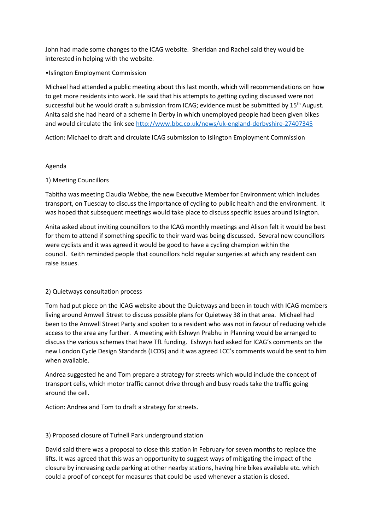John had made some changes to the ICAG website. Sheridan and Rachel said they would be interested in helping with the website.

## •Islington Employment Commission

Michael had attended a public meeting about this last month, which will recommendations on how to get more residents into work. He said that his attempts to getting cycling discussed were not successful but he would draft a submission from ICAG; evidence must be submitted by 15<sup>th</sup> August. Anita said she had heard of a scheme in Derby in which unemployed people had been given bikes and would circulate the link see<http://www.bbc.co.uk/news/uk-england-derbyshire-27407345>

Action: Michael to draft and circulate ICAG submission to Islington Employment Commission

## Agenda

## 1) Meeting Councillors

Tabitha was meeting Claudia Webbe, the new Executive Member for Environment which includes transport, on Tuesday to discuss the importance of cycling to public health and the environment. It was hoped that subsequent meetings would take place to discuss specific issues around Islington.

Anita asked about inviting councillors to the ICAG monthly meetings and Alison felt it would be best for them to attend if something specific to their ward was being discussed. Several new councillors were cyclists and it was agreed it would be good to have a cycling champion within the council. Keith reminded people that councillors hold regular surgeries at which any resident can raise issues.

# 2) Quietways consultation process

Tom had put piece on the ICAG website about the Quietways and been in touch with ICAG members living around Amwell Street to discuss possible plans for Quietway 38 in that area. Michael had been to the Amwell Street Party and spoken to a resident who was not in favour of reducing vehicle access to the area any further. A meeting with Eshwyn Prabhu in Planning would be arranged to discuss the various schemes that have TfL funding. Eshwyn had asked for ICAG's comments on the new London Cycle Design Standards (LCDS) and it was agreed LCC's comments would be sent to him when available.

Andrea suggested he and Tom prepare a strategy for streets which would include the concept of transport cells, which motor traffic cannot drive through and busy roads take the traffic going around the cell.

Action: Andrea and Tom to draft a strategy for streets.

# 3) Proposed closure of Tufnell Park underground station

David said there was a proposal to close this station in February for seven months to replace the lifts. It was agreed that this was an opportunity to suggest ways of mitigating the impact of the closure by increasing cycle parking at other nearby stations, having hire bikes available etc. which could a proof of concept for measures that could be used whenever a station is closed.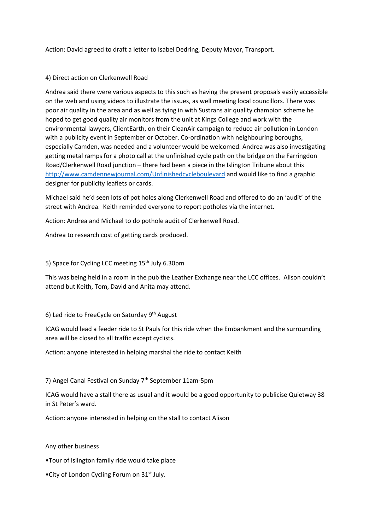Action: David agreed to draft a letter to Isabel Dedring, Deputy Mayor, Transport.

## 4) Direct action on Clerkenwell Road

Andrea said there were various aspects to this such as having the present proposals easily accessible on the web and using videos to illustrate the issues, as well meeting local councillors. There was poor air quality in the area and as well as tying in with Sustrans air quality champion scheme he hoped to get good quality air monitors from the unit at Kings College and work with the environmental lawyers, ClientEarth, on their CleanAir campaign to reduce air pollution in London with a publicity event in September or October. Co-ordination with neighbouring boroughs, especially Camden, was needed and a volunteer would be welcomed. Andrea was also investigating getting metal ramps for a photo call at the unfinished cycle path on the bridge on the Farringdon Road/Clerkenwell Road junction – there had been a piece in the Islington Tribune about this <http://www.camdennewjournal.com/Unfinishedcycleboulevard> and would like to find a graphic designer for publicity leaflets or cards.

Michael said he'd seen lots of pot holes along Clerkenwell Road and offered to do an 'audit' of the street with Andrea. Keith reminded everyone to report potholes via the internet.

Action: Andrea and Michael to do pothole audit of Clerkenwell Road.

Andrea to research cost of getting cards produced.

5) Space for Cycling LCC meeting 15<sup>th</sup> July 6.30pm

This was being held in a room in the pub the Leather Exchange near the LCC offices. Alison couldn't attend but Keith, Tom, David and Anita may attend.

### 6) Led ride to FreeCycle on Saturday 9th August

ICAG would lead a feeder ride to St Pauls for this ride when the Embankment and the surrounding area will be closed to all traffic except cyclists.

Action: anyone interested in helping marshal the ride to contact Keith

# 7) Angel Canal Festival on Sunday 7<sup>th</sup> September 11am-5pm

ICAG would have a stall there as usual and it would be a good opportunity to publicise Quietway 38 in St Peter's ward.

Action: anyone interested in helping on the stall to contact Alison

Any other business

- •Tour of Islington family ride would take place
- •City of London Cycling Forum on 31<sup>st</sup> July.